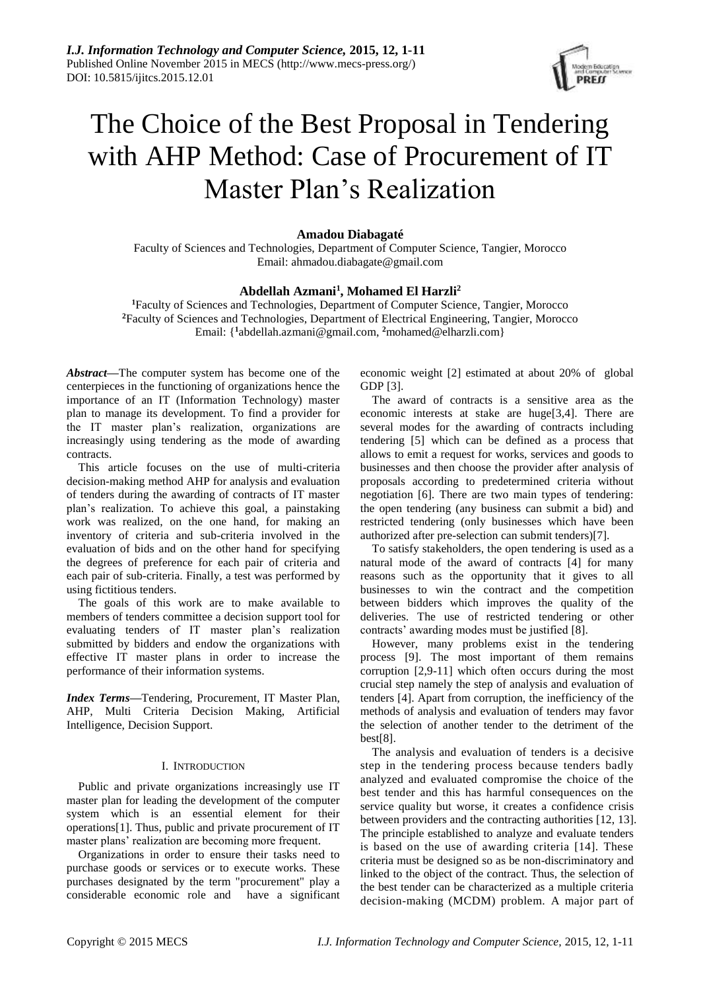

# The Choice of the Best Proposal in Tendering with AHP Method: Case of Procurement of IT Master Plan's Realization

# **Amadou Diabagaté**

Faculty of Sciences and Technologies, Department of Computer Science, Tangier, Morocco Email: ahmadou.diabagate@gmail.com

# **Abdellah Azmani<sup>1</sup> , Mohamed El Harzli<sup>2</sup>**

**<sup>1</sup>**Faculty of Sciences and Technologies, Department of Computer Science, Tangier, Morocco **<sup>2</sup>**Faculty of Sciences and Technologies, Department of Electrical Engineering, Tangier, Morocco Email: {**<sup>1</sup>** [abdellah.azmani@gmail.com,](mailto:abdellah.azmani@gmail.com) **<sup>2</sup>**[mohamed@elharzli.com}](mailto:mohamed@elharzli.com)

*Abstract***—**The computer system has become one of the centerpieces in the functioning of organizations hence the importance of an IT (Information Technology) master plan to manage its development. To find a provider for the IT master plan's realization, organizations are increasingly using tendering as the mode of awarding contracts.

This article focuses on the use of multi-criteria decision-making method AHP for analysis and evaluation of tenders during the awarding of contracts of IT master plan's realization. To achieve this goal, a painstaking work was realized, on the one hand, for making an inventory of criteria and sub-criteria involved in the evaluation of bids and on the other hand for specifying the degrees of preference for each pair of criteria and each pair of sub-criteria. Finally, a test was performed by using fictitious tenders.

The goals of this work are to make available to members of tenders committee a decision support tool for evaluating tenders of IT master plan's realization submitted by bidders and endow the organizations with effective IT master plans in order to increase the performance of their information systems.

*Index Terms***—**Tendering, Procurement, IT Master Plan, AHP, Multi Criteria Decision Making, Artificial Intelligence, Decision Support.

### I. INTRODUCTION

Public and private organizations increasingly use IT master plan for leading the development of the computer system which is an essential element for their operations[1]. Thus, public and private procurement of IT master plans' realization are becoming more frequent.

Organizations in order to ensure their tasks need to purchase goods or services or to execute works. These purchases designated by the term "procurement" play a considerable economic role and have a significant

economic weight [2] estimated at about 20% of global GDP [3].

The award of contracts is a sensitive area as the economic interests at stake are huge[3,4]. There are several modes for the awarding of contracts including tendering [5] which can be defined as a process that allows to emit a request for works, services and goods to businesses and then choose the provider after analysis of proposals according to predetermined criteria without negotiation [6]. There are two main types of tendering: the open tendering (any business can submit a bid) and restricted tendering (only businesses which have been authorized after pre-selection can submit tenders)[7].

To satisfy stakeholders, the open tendering is used as a natural mode of the award of contracts [4] for many reasons such as the opportunity that it gives to all businesses to win the contract and the competition between bidders which improves the quality of the deliveries. The use of restricted tendering or other contracts' awarding modes must be justified [8].

However, many problems exist in the tendering process [9]. The most important of them remains corruption [2,9-11] which often occurs during the most crucial step namely the step of analysis and evaluation of tenders [4]. Apart from corruption, the inefficiency of the methods of analysis and evaluation of tenders may favor the selection of another tender to the detriment of the best[8].

The analysis and evaluation of tenders is a decisive step in the tendering process because tenders badly analyzed and evaluated compromise the choice of the best tender and this has harmful consequences on the service quality but worse, it creates a confidence crisis between providers and the contracting authorities [12, 13]. The principle established to analyze and evaluate tenders is based on the use of awarding criteria [14]. These criteria must be designed so as be non-discriminatory and linked to the object of the contract. Thus, the selection of the best tender can be characterized as a multiple criteria decision-making (MCDM) problem. A major part of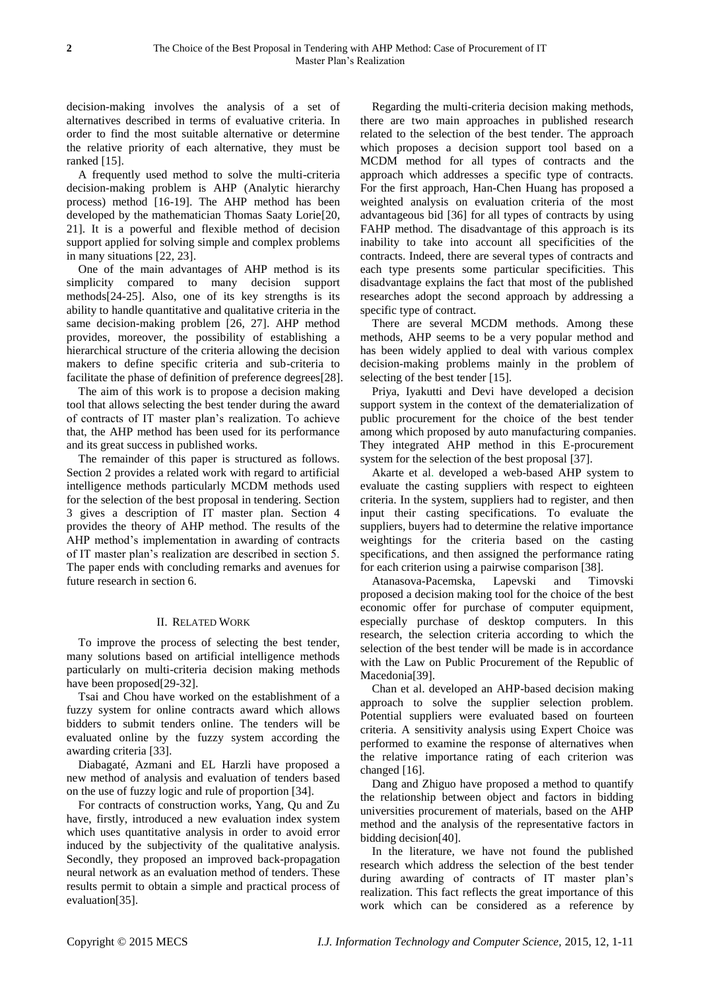decision-making involves the analysis of a set of alternatives described in terms of evaluative criteria. In order to find the most suitable alternative or determine the relative priority of each alternative, they must be ranked [15].

A frequently used method to solve the multi-criteria decision-making problem is AHP [\(Analytic hierarchy](https://www.google.com/url?sa=t&rct=j&q=&esrc=s&source=web&cd=2&cad=rja&uact=8&ved=0CCMQFjABahUKEwjO2tPzvunGAhXCVhQKHU3iDJk&url=https%3A%2F%2Fen.wikipedia.org%2Fwiki%2FAnalytic_hierarchy_process&ei=LMysVc6UKsKtUc3Es8gJ&usg=AFQjCNGmpvWe0k3ATGl_DK2yGumBymiFhw&bvm=bv.98197061,d.d24)  [process\)](https://www.google.com/url?sa=t&rct=j&q=&esrc=s&source=web&cd=2&cad=rja&uact=8&ved=0CCMQFjABahUKEwjO2tPzvunGAhXCVhQKHU3iDJk&url=https%3A%2F%2Fen.wikipedia.org%2Fwiki%2FAnalytic_hierarchy_process&ei=LMysVc6UKsKtUc3Es8gJ&usg=AFQjCNGmpvWe0k3ATGl_DK2yGumBymiFhw&bvm=bv.98197061,d.d24) method [16-19]. The AHP method has been developed by the mathematician Thomas Saaty Lorie[20, 21]. It is a powerful and flexible method of decision support applied for solving simple and complex problems in many situations [22, 23].

One of the main advantages of AHP method is its simplicity compared to many decision support methods[24-25]. Also, one of its key strengths is its ability to handle quantitative and qualitative criteria in the same decision-making problem [26, 27]. AHP method provides, moreover, the possibility of establishing a hierarchical structure of the criteria allowing the decision makers to define specific criteria and sub-criteria to facilitate the phase of definition of preference degrees[28].

The aim of this work is to propose a decision making tool that allows selecting the best tender during the award of contracts of IT master plan's realization. To achieve that, the AHP method has been used for its performance and its great success in published works.

The remainder of this paper is structured as follows. Section 2 provides a related work with regard to artificial intelligence methods particularly MCDM methods used for the selection of the best proposal in tendering. Section 3 gives a description of IT master plan. Section 4 provides the theory of AHP method. The results of the AHP method's implementation in awarding of contracts of IT master plan's realization are described in section 5. The paper ends with concluding remarks and avenues for future research in section 6.

# II. RELATED WORK

To improve the process of selecting the best tender, many solutions based on artificial intelligence methods particularly on multi-criteria decision making methods have been proposed[29-32].

Tsai and Chou have worked on the establishment of a fuzzy system for online contracts award which allows bidders to submit tenders online. The tenders will be evaluated online by the fuzzy system according the awarding criteria [33].

Diabagaté, Azmani and EL Harzli have proposed a new method of analysis and evaluation of tenders based on the use of fuzzy logic and rule of proportion [34].

For contracts of construction works, Yang, Qu and Zu have, firstly, introduced a new evaluation index system which uses quantitative analysis in order to avoid error induced by the subjectivity of the qualitative analysis. Secondly, they proposed an improved back-propagation neural network as an evaluation method of tenders. These results permit to obtain a simple and practical process of evaluation[35].

Regarding the multi-criteria decision making methods, there are two main approaches in published research related to the selection of the best tender. The approach which proposes a decision support tool based on a MCDM method for all types of contracts and the approach which addresses a specific type of contracts. For the first approach, Han-Chen Huang has proposed a weighted analysis on evaluation criteria of the most advantageous bid [36] for all types of contracts by using FAHP method. The disadvantage of this approach is its inability to take into account all specificities of the contracts. Indeed, there are several types of contracts and each type presents some particular specificities. This disadvantage explains the fact that most of the published researches adopt the second approach by addressing a specific type of contract.

There are several MCDM methods. Among these methods, AHP seems to be a very popular method and has been widely applied to deal with various complex decision-making problems mainly in the problem of selecting of the best tender [15].

Priya, Iyakutti and Devi have developed a decision support system in the context of the dematerialization of public procurement for the choice of the best tender among which proposed by auto manufacturing companies. They integrated AHP method in this E-procurement system for the selection of the best proposal [37].

Akarte et al. developed a web-based AHP system to evaluate the casting suppliers with respect to eighteen criteria. In the system, suppliers had to register, and then input their casting specifications. To evaluate the suppliers, buyers had to determine the relative importance weightings for the criteria based on the casting specifications, and then assigned the performance rating for each criterion using a pairwise comparison [38].

Atanasova-Pacemska, Lapevski and Timovski proposed a decision making tool for the choice of the best economic offer for purchase of computer equipment, especially purchase of desktop computers. In this research, the selection criteria according to which the selection of the best tender will be made is in accordance with the Law on Public Procurement of the Republic of Macedonia[39].

Chan et al. developed an AHP-based decision making approach to solve the supplier selection problem. Potential suppliers were evaluated based on fourteen criteria. A sensitivity analysis using Expert Choice was performed to examine the response of alternatives when the relative importance rating of each criterion was changed [16].

Dang and Zhiguo have proposed a method to quantify the relationship between object and factors in bidding universities procurement of materials, based on the AHP method and the analysis of the representative factors in bidding decision[40].

In the literature, we have not found the published research which address the selection of the best tender during awarding of contracts of IT master plan's realization. This fact reflects the great importance of this work which can be considered as a reference by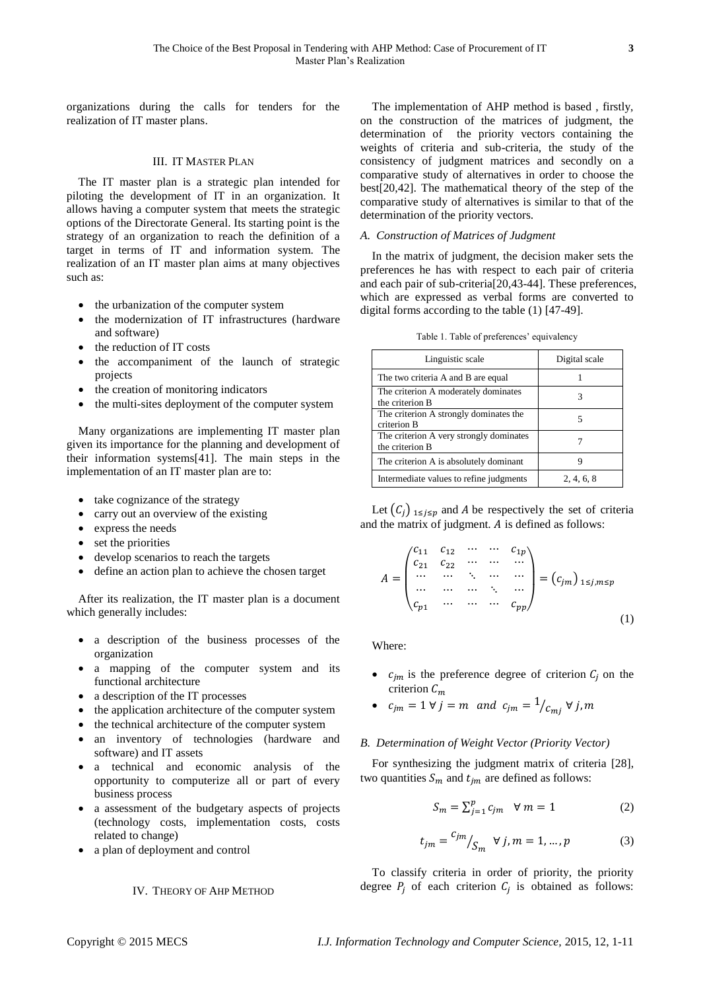organizations during the calls for tenders for the realization of IT master plans.

# III. IT MASTER PLAN

The IT master plan is a strategic plan intended for piloting the development of IT in an organization. It allows having a computer system that meets the strategic options of the Directorate General. Its starting point is the strategy of an organization to reach the definition of a target in terms of IT and information system. The realization of an IT master plan aims at many objectives such as:

- the urbanization of the computer system
- the modernization of IT infrastructures (hardware and software)
- the reduction of IT costs
- the accompaniment of the launch of strategic projects
- the creation of monitoring indicators
- the multi-sites deployment of the computer system

Many organizations are implementing IT master plan given its importance for the planning and development of their information systems[41]. The main steps in the implementation of an IT master plan are to:

- take cognizance of the strategy
- carry out an overview of the existing
- express the needs
- set the priorities
- develop scenarios to reach the targets
- define an action plan to achieve the chosen target

After its realization, the IT master plan is a document which generally includes:

- a description of the business processes of the organization
- a mapping of the computer system and its functional architecture
- a description of the IT processes
- the application architecture of the computer system
- the technical architecture of the computer system
- an inventory of technologies (hardware and software) and IT assets
- a technical and economic analysis of the opportunity to computerize all or part of every business process
- a assessment of the budgetary aspects of projects (technology costs, implementation costs, costs related to change)
- a plan of deployment and control

# IV. THEORY OF AHP METHOD

The implementation of AHP method is based , firstly, on the construction of the matrices of judgment, the determination of the priority vectors containing the weights of criteria and sub-criteria, the study of the consistency of judgment matrices and secondly on a comparative study of alternatives in order to choose the best[20,42]. The mathematical theory of the step of the comparative study of alternatives is similar to that of the determination of the priority vectors.

# *A. Construction of Matrices of Judgment*

In the matrix of judgment, the decision maker sets the preferences he has with respect to each pair of criteria and each pair of sub-criteria[20,43-44]. These preferences, which are expressed as verbal forms are converted to digital forms according to the table (1) [47-49].

|  |  |  | Table 1. Table of preferences' equivalency |
|--|--|--|--------------------------------------------|
|--|--|--|--------------------------------------------|

| Linguistic scale                                           | Digital scale |
|------------------------------------------------------------|---------------|
| The two criteria A and B are equal                         |               |
| The criterion A moderately dominates<br>the criterion B    | 3             |
| The criterion A strongly dominates the<br>criterion B      | 5             |
| The criterion A very strongly dominates<br>the criterion B |               |
| The criterion A is absolutely dominant                     | ч             |
| Intermediate values to refine judgments                    | 2, 4, 6, 8    |

Let  $(C_j)_{1 \leq j \leq p}$  and A be respectively the set of criteria and the matrix of judgment.  $A$  is defined as follows:

$$
A = \begin{pmatrix} c_{11} & c_{12} & \cdots & \cdots & c_{1p} \\ c_{21} & c_{22} & \cdots & \cdots & \cdots \\ \cdots & \cdots & \ddots & \cdots & \cdots \\ c_{p1} & \cdots & \cdots & \cdots & c_{pp} \end{pmatrix} = (c_{jm})_{1 \le j, m \le p}
$$
(1)

Where:

- $c_{jm}$  is the preference degree of criterion  $C_i$  on the criterion  $C_m$
- $c_{jm} = 1 \forall j = m \text{ and } c_{jm} = \frac{1}{c_{mj}} \forall j, m$

#### *B. Determination of Weight Vector (Priority Vector)*

For synthesizing the judgment matrix of criteria [28], two quantities  $S_m$  and  $t_{im}$  are defined as follows:

$$
S_m = \sum_{j=1}^p c_{jm} \quad \forall \ m = 1 \tag{2}
$$

$$
t_{jm} = \frac{c_{jm}}{S_m} \quad \forall j, m = 1, \dots, p \tag{3}
$$

To classify criteria in order of priority, the priority degree  $P_j$  of each criterion  $C_j$  is obtained as follows: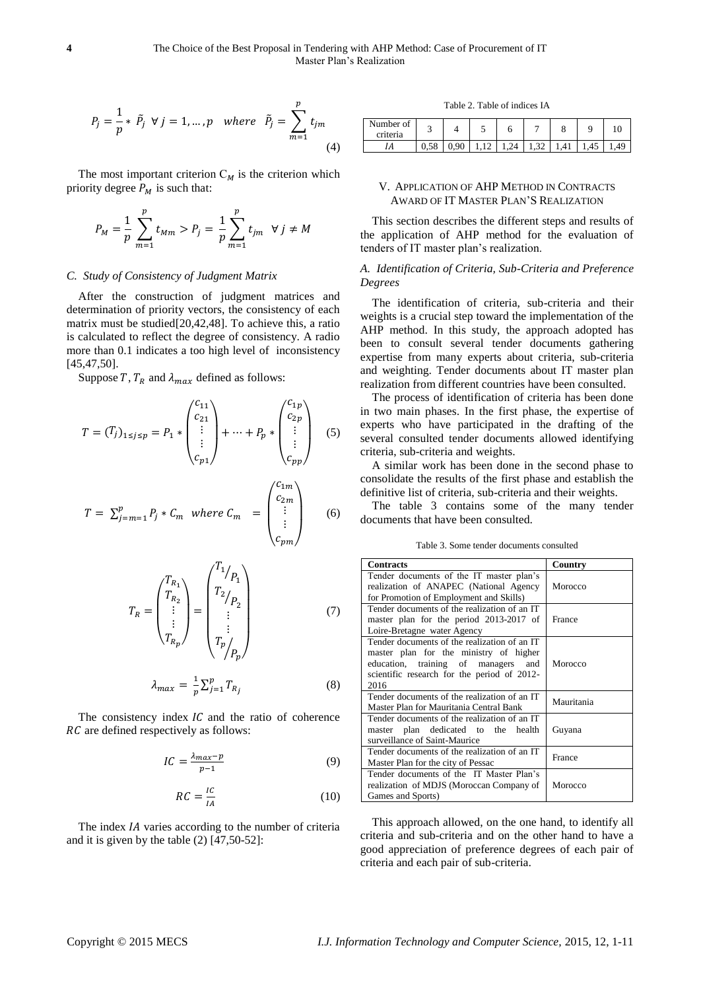$$
P_j = \frac{1}{p} * \tilde{P}_j \quad \forall j = 1, \dots, p \quad \text{where} \quad \tilde{P}_j = \sum_{m=1}^p t_{jm}
$$
\n
$$
\tag{4}
$$

The most important criterion  $C_M$  is the criterion which priority degree  $P_M$  is such that:

$$
P_M = \frac{1}{p} \sum_{m=1}^p t_{Mm} > P_j = \frac{1}{p} \sum_{m=1}^p t_{jm} \ \forall j \neq M
$$

#### *C. Study of Consistency of Judgment Matrix*

After the construction of judgment matrices and determination of priority vectors, the consistency of each matrix must be studied[20,42,48]. To achieve this, a ratio is calculated to reflect the degree of consistency. A radio more than 0.1 indicates a too high level of inconsistency [45,47,50].

Suppose T,  $T_R$  and  $\lambda_{max}$  defined as follows:

$$
T = (T_j)_{1 \le j \le p} = P_1 * \begin{pmatrix} c_{11} \\ c_{21} \\ \vdots \\ c_{p1} \end{pmatrix} + \dots + P_p * \begin{pmatrix} c_{1p} \\ c_{2p} \\ \vdots \\ c_{pp} \end{pmatrix} \quad (5)
$$

$$
T = \sum_{j=m=1}^{p} P_j * C_m \text{ where } C_m = \begin{pmatrix} C_{1m} \\ C_{2m} \\ \vdots \\ C_{pm} \end{pmatrix}
$$
 (6)

$$
T_R = \begin{pmatrix} T_{R_1} \\ T_{R_2} \\ \vdots \\ T_{R_p} \end{pmatrix} = \begin{pmatrix} T_1/p_1 \\ T_2/p_2 \\ \vdots \\ T_p/p_p \end{pmatrix}
$$
(7)

$$
\lambda_{max} = \frac{1}{p} \sum_{j=1}^{p} T_{R_j} \tag{8}
$$

The consistency index  $IC$  and the ratio of coherence RC are defined respectively as follows:

$$
IC = \frac{\lambda_{max} - p}{p - 1} \tag{9}
$$

$$
RC = \frac{IC}{IA} \tag{10}
$$

The index  *varies according to the number of criteria* and it is given by the table (2) [47,50-52]:

Table 2. Table of indices IA

| Number of<br>criteria |            |      | ۰ | u  |      |     | 1 V |
|-----------------------|------------|------|---|----|------|-----|-----|
| ΙA                    | FC<br>0,58 | 0.90 |   | 14 | ے د۔ | ن+. |     |

# V. APPLICATION OF AHP METHOD IN CONTRACTS AWARD OF IT MASTER PLAN'S REALIZATION

This section describes the different steps and results of the application of AHP method for the evaluation of tenders of IT master plan's realization.

## *A. Identification of Criteria, Sub-Criteria and Preference Degrees*

The identification of criteria, sub-criteria and their weights is a crucial step toward the implementation of the AHP method. In this study, the approach adopted has been to consult several tender documents gathering expertise from many experts about criteria, sub-criteria and weighting. Tender documents about IT master plan realization from different countries have been consulted.

The process of identification of criteria has been done in two main phases. In the first phase, the expertise of experts who have participated in the drafting of the several consulted tender documents allowed identifying criteria, sub-criteria and weights.

A similar work has been done in the second phase to consolidate the results of the first phase and establish the definitive list of criteria, sub-criteria and their weights.

The table 3 contains some of the many tender documents that have been consulted.

Table 3. Some tender documents consulted

| <b>Contracts</b>                                                                                                                                                                     | Country    |
|--------------------------------------------------------------------------------------------------------------------------------------------------------------------------------------|------------|
| Tender documents of the IT master plan's<br>realization of ANAPEC (National Agency<br>for Promotion of Employment and Skills)                                                        | Morocco    |
| Tender documents of the realization of an IT<br>master plan for the period 2013-2017 of<br>Loire-Bretagne water Agency                                                               | France     |
| Tender documents of the realization of an IT<br>master plan for the ministry of higher<br>education, training of managers and<br>scientific research for the period of 2012-<br>2016 | Morocco    |
| Tender documents of the realization of an IT<br>Master Plan for Mauritania Central Bank                                                                                              | Mauritania |
| Tender documents of the realization of an IT<br>master plan dedicated to the health<br>surveillance of Saint-Maurice                                                                 | Guyana     |
| Tender documents of the realization of an IT<br>Master Plan for the city of Pessac                                                                                                   | France     |
| Tender documents of the IT Master Plan's<br>realization of MDJS (Moroccan Company of<br>Games and Sports)                                                                            | Morocco    |

This approach allowed, on the one hand, to identify all criteria and sub-criteria and on the other hand to have a good appreciation of preference degrees of each pair of criteria and each pair of sub-criteria.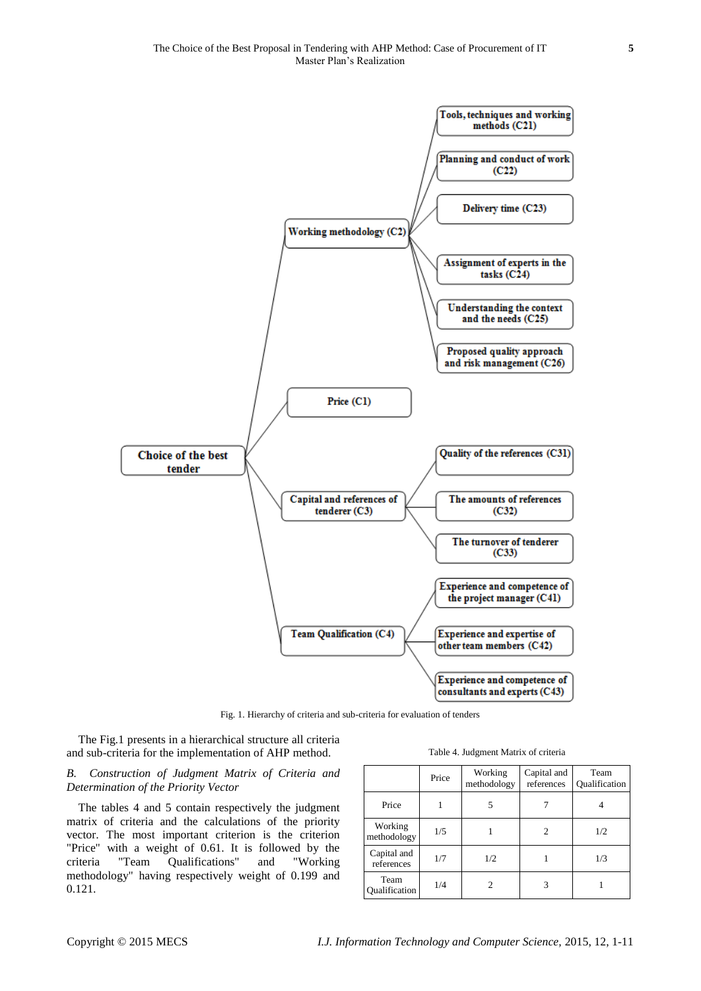

Fig. 1. Hierarchy of criteria and sub-criteria for evaluation of tenders

The Fig.1 presents in a hierarchical structure all criteria and sub-criteria for the implementation of AHP method.

## *B. Construction of Judgment Matrix of Criteria and Determination of the Priority Vector*

The tables 4 and 5 contain respectively the judgment matrix of criteria and the calculations of the priority vector. The most important criterion is the criterion "Price" with a weight of 0.61. It is followed by the criteria "Team Qualifications" and "Working methodology" having respectively weight of 0.199 and 0.121.

|                              | Price | Working<br>methodology | Capital and<br>references | Team<br>Oualification |
|------------------------------|-------|------------------------|---------------------------|-----------------------|
| Price                        |       |                        |                           |                       |
| Working<br>methodology       | 1/5   |                        | 2                         | 1/2                   |
| Capital and<br>references    | 1/7   | 1/2                    |                           | 1/3                   |
| Team<br><b>Qualification</b> | 1/4   |                        |                           |                       |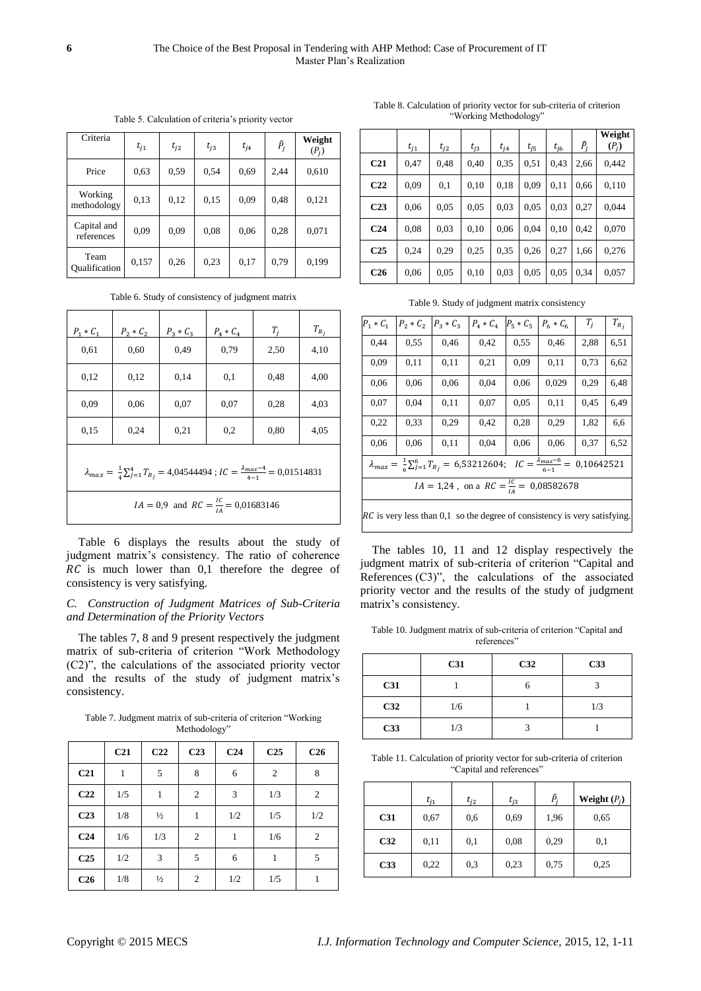| Criteria                  | $t_{i1}$ | $t_{i2}$ | $t_{i3}$ | $t_{i4}$ | $\tilde{P}_j$ | Weight<br>$(P_i)$ |
|---------------------------|----------|----------|----------|----------|---------------|-------------------|
| Price                     | 0.63     | 0.59     | 0.54     | 0.69     | 2,44          | 0,610             |
| Working<br>methodology    | 0.13     | 0,12     | 0.15     | 0,09     | 0,48          | 0,121             |
| Capital and<br>references | 0.09     | 0.09     | 0.08     | 0.06     | 0,28          | 0,071             |
| Team<br>Oualification     | 0,157    | 0,26     | 0.23     | 0,17     | 0.79          | 0,199             |

Table 5. Calculation of criteria's priority vector

Table 6. Study of consistency of judgment matrix

| $P_1 * C_1$                                                                                                       | $P_2 * C_2$                                      | $P_3 * C_3$ | $P_4 * C_4$ | $T_i$ | $T_{R_j}$ |  |  |
|-------------------------------------------------------------------------------------------------------------------|--------------------------------------------------|-------------|-------------|-------|-----------|--|--|
| 0.61                                                                                                              | 0,60                                             | 0,49        | 0.79        | 2,50  | 4,10      |  |  |
| 0.12                                                                                                              | 0.12                                             | 0.14        | 0,1         | 0,48  | 4,00      |  |  |
| 0.09                                                                                                              | 0.06                                             | 0,07        | 0,07        | 0.28  | 4,03      |  |  |
| 0.15                                                                                                              | 0,24                                             | 0,21        | 0,2         | 0.80  | 4,05      |  |  |
| $\lambda_{max} = \frac{1}{4} \sum_{j=1}^{4} T_{R_j} = 4,04544494$ ; $IC = \frac{\lambda_{max}-4}{4} = 0,01514831$ |                                                  |             |             |       |           |  |  |
|                                                                                                                   | $IA = 0.9$ and $RC = \frac{IC}{IA} = 0.01683146$ |             |             |       |           |  |  |

Table 6 displays the results about the study of judgment matrix's consistency. The ratio of coherence  $RC$  is much lower than  $0,1$  therefore the degree of consistency is very satisfying.

## *C. Construction of Judgment Matrices of Sub-Criteria and Determination of the Priority Vectors*

The tables 7, 8 and 9 present respectively the judgment matrix of sub-criteria of criterion "Work Methodology (C2)", the calculations of the associated priority vector and the results of the study of judgment matrix's consistency.

Table 7. Judgment matrix of sub-criteria of criterion "Working Methodology"

|                 | C <sub>21</sub> | C <sub>22</sub> | C <sub>23</sub>  | C <sub>24</sub> | C <sub>25</sub> | C <sub>26</sub> |
|-----------------|-----------------|-----------------|------------------|-----------------|-----------------|-----------------|
| C <sub>21</sub> |                 | 5               | 8                | 6               | 2               | 8               |
| C <sub>22</sub> | 1/5             | 1               | $\boldsymbol{2}$ | 3               | 1/3             | 2               |
| C <sub>23</sub> | 1/8             | $\frac{1}{2}$   | 1                | 1/2             | 1/5             | 1/2             |
| C <sub>24</sub> | 1/6             | 1/3             | $\overline{c}$   | 1               | 1/6             | $\mathfrak{2}$  |
| C <sub>25</sub> | 1/2             | 3               | 5                | 6               | 1               | 5               |
| C <sub>26</sub> | 1/8             | $\frac{1}{2}$   | $\boldsymbol{2}$ | 1/2             | 1/5             | 1               |

Table 8. Calculation of priority vector for sub-criteria of criterion "Working Methodology"

|                 | $t_{i1}$ | $t_{i2}$ | $t_{i3}$ | $t_{i4}$ | $t_{i5}$ | $t_{i6}$ | $\tilde{P}_i$ | Weight<br>$(P_i)$ |
|-----------------|----------|----------|----------|----------|----------|----------|---------------|-------------------|
| C <sub>21</sub> | 0,47     | 0.48     | 0.40     | 0.35     | 0,51     | 0.43     | 2.66          | 0,442             |
| C <sub>22</sub> | 0.09     | 0,1      | 0.10     | 0.18     | 0.09     | 0.11     | 0.66          | 0,110             |
| C <sub>23</sub> | 0,06     | 0.05     | 0.05     | 0.03     | 0.05     | 0.03     | 0,27          | 0.044             |
| C <sub>24</sub> | 0.08     | 0.03     | 0.10     | 0,06     | 0.04     | 0.10     | 0.42          | 0,070             |
| C <sub>25</sub> | 0.24     | 0.29     | 0.25     | 0.35     | 0.26     | 0,27     | 1.66          | 0,276             |
| C <sub>26</sub> | 0,06     | 0.05     | 0.10     | 0.03     | 0.05     | 0.05     | 0,34          | 0,057             |

Table 9. Study of judgment matrix consistency

| $P_1 * C_1$                                                                                                                           | $P_2 * C_2$ | $P_{3} * C_{3}$ | $P_4 * C_4$ | $P_5 * C_5$ | $P_6 * C_6$ | $T_i$ | $T_{R_i}$ |
|---------------------------------------------------------------------------------------------------------------------------------------|-------------|-----------------|-------------|-------------|-------------|-------|-----------|
| 0,44                                                                                                                                  | 0,55        | 0,46            | 0,42        | 0,55        | 0,46        | 2,88  | 6,51      |
| 0.09                                                                                                                                  | 0,11        | 0,11            | 0,21        | 0.09        | 0,11        | 0.73  | 6,62      |
| 0,06                                                                                                                                  | 0.06        | 0,06            | 0,04        | 0.06        | 0,029       | 0,29  | 6,48      |
| 0,07                                                                                                                                  | 0,04        | 0,11            | 0,07        | 0.05        | 0,11        | 0,45  | 6,49      |
| 0,22                                                                                                                                  | 0,33        | 0,29            | 0,42        | 0.28        | 0,29        | 1,82  | 6,6       |
| 0,06                                                                                                                                  | 0.06        | 0,11            | 0,04        | 0.06        | 0,06        | 0,37  | 6,52      |
| $\overline{\lambda_{max}} = \frac{1}{6} \sum_{j=1}^{6} T_{R_j} = 6{,}53212604; \quad IC = \frac{\lambda_{max}-6}{6-1} = 0{,}10642521$ |             |                 |             |             |             |       |           |
| $IA = 1,24$ , on a $RC = \frac{IC}{IA} = 0,08582678$                                                                                  |             |                 |             |             |             |       |           |
|                                                                                                                                       |             |                 |             |             |             |       |           |

 $RC$  is very less than 0,1 so the degree of consistency is very satisfying.

The tables 10, 11 and 12 display respectively the judgment matrix of sub-criteria of criterion "Capital and References (C3)", the calculations of the associated priority vector and the results of the study of judgment matrix's consistency.

Table 10. Judgment matrix of sub-criteria of criterion "Capital and references"

|            | C31 | C32 | C33 |
|------------|-----|-----|-----|
| <b>C31</b> |     |     |     |
| C32        | 1/6 |     | 1/3 |
| C33        | 1/3 |     |     |

Table 11. Calculation of priority vector for sub-criteria of criterion "Capital and references"

|                 | $t_{i1}$ | $t_{i2}$ | $t_{i3}$ | P.   | Weight $(P_i)$ |
|-----------------|----------|----------|----------|------|----------------|
| C <sub>31</sub> | 0,67     | 0,6      | 0,69     | 1,96 | 0,65           |
| C32             | 0,11     | 0,1      | 0,08     | 0,29 | 0,1            |
| C <sub>33</sub> | 0,22     | 0,3      | 0,23     | 0,75 | 0,25           |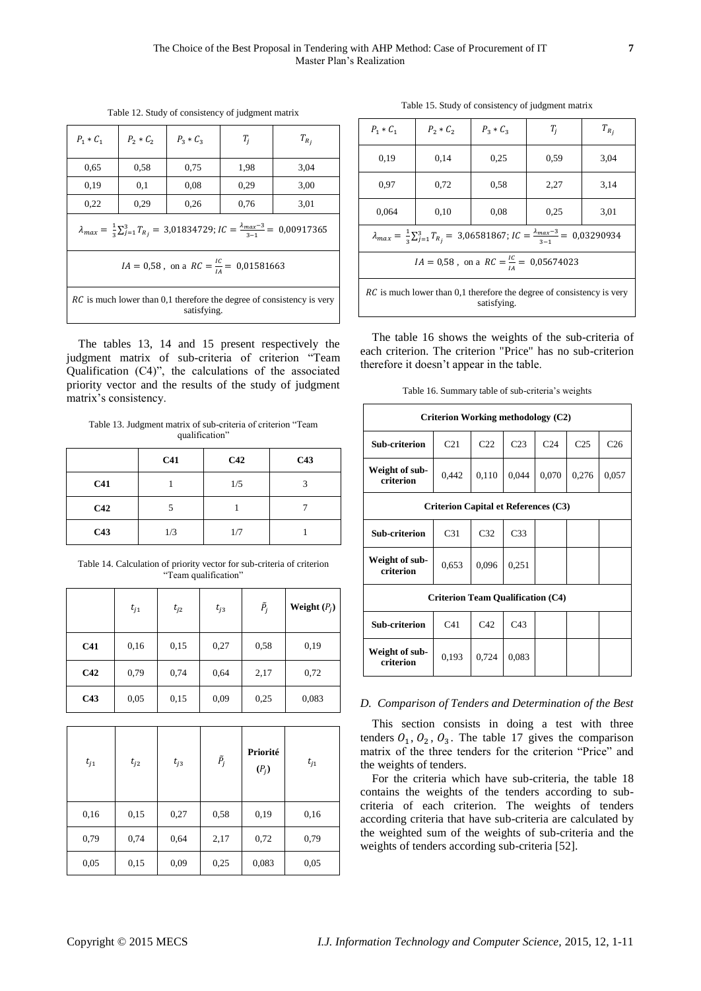Table 12. Study of consistency of judgment matrix

| $P_1 * C_1$                                                                                                    | $P_2 * C_2$ | $P_3 * C_3$ | $T_i$ | $T_{R_i}$ |  |  |
|----------------------------------------------------------------------------------------------------------------|-------------|-------------|-------|-----------|--|--|
| 0.65                                                                                                           | 0,58        | 0.75        | 1,98  | 3,04      |  |  |
| 0.19                                                                                                           | 0,1         | 0.08        | 0,29  | 3,00      |  |  |
| 0,22                                                                                                           | 0.29        | 0,26        | 0.76  | 3,01      |  |  |
| $\lambda_{max} = \frac{1}{3} \sum_{i=1}^{3} T_{R_i} = 3.01834729; IC = \frac{\lambda_{max}-3}{3} = 0.00917365$ |             |             |       |           |  |  |
| $IA = 0.58$ , on a $RC = \frac{IC}{IA} = 0.01581663$                                                           |             |             |       |           |  |  |
| <i>RC</i> is much lower than 0,1 therefore the degree of consistency is very<br>satisfying.                    |             |             |       |           |  |  |

The tables 13, 14 and 15 present respectively the judgment matrix of sub-criteria of criterion "Team Qualification (C4)", the calculations of the associated priority vector and the results of the study of judgment matrix's consistency.

Table 13. Judgment matrix of sub-criteria of criterion "Team qualification"

|                 | C <sub>41</sub> | C42 | C43 |
|-----------------|-----------------|-----|-----|
| C <sub>41</sub> |                 | 1/5 | 3   |
| C42             |                 |     |     |
| C43             | 1/3             | 1/7 |     |

Table 14. Calculation of priority vector for sub-criteria of criterion "Team qualification"

|                 | $t_{j1}$ | $t_{i2}$ | $t_{j3}$ | $\tilde{P}_j$ | Weight $(P_j)$ |
|-----------------|----------|----------|----------|---------------|----------------|
| C <sub>41</sub> | 0,16     | 0,15     | 0,27     | 0,58          | 0,19           |
| C42             | 0,79     | 0,74     | 0,64     | 2,17          | 0,72           |
| C <sub>43</sub> | 0,05     | 0,15     | 0,09     | 0,25          | 0,083          |

| $t_{j1}$ | $t_{j2}$ | $t_{j3}$ | $\tilde{P}_j$ | Priorité<br>$(P_j)$ | $t_{j1}$ |
|----------|----------|----------|---------------|---------------------|----------|
| 0,16     | 0,15     | 0,27     | 0,58          | 0,19                | 0,16     |
| 0,79     | 0,74     | 0,64     | 2,17          | 0,72                | 0,79     |
| 0,05     | 0,15     | 0,09     | 0,25          | 0,083               | 0,05     |

Table 15. Study of consistency of judgment matrix

| $P_1 * C_1$                                                                                                    | $P_2 * C_2$ | $P_{2} * C_{2}$ | $T_i$ | $T_{R_i}$ |  |  |  |
|----------------------------------------------------------------------------------------------------------------|-------------|-----------------|-------|-----------|--|--|--|
| 0.19                                                                                                           | 0,14        | 0.25            | 0.59  | 3,04      |  |  |  |
| 0.97                                                                                                           | 0,72        | 0.58            | 2,27  | 3,14      |  |  |  |
| 0.064                                                                                                          | 0,10        | 0.08            | 0,25  | 3,01      |  |  |  |
| $\lambda_{max} = \frac{1}{3} \sum_{j=1}^{3} T_{R_j} = 3,06581867; IC = \frac{\lambda_{max}-3}{2} = 0,03290934$ |             |                 |       |           |  |  |  |
| $IA = 0.58$ , on a $RC = \frac{IC}{IA} = 0.05674023$                                                           |             |                 |       |           |  |  |  |
| <i>RC</i> is much lower than 0,1 therefore the degree of consistency is very<br>satisfying.                    |             |                 |       |           |  |  |  |

The table 16 shows the weights of the sub-criteria of each criterion. The criterion "Price" has no sub-criterion therefore it doesn't appear in the table.

Table 16. Summary table of sub-criteria's weights

| Criterion Working methodology (C2)          |                 |                 |                 |                 |                 |                 |  |
|---------------------------------------------|-----------------|-----------------|-----------------|-----------------|-----------------|-----------------|--|
| <b>Sub-criterion</b>                        | C <sub>21</sub> | C <sub>22</sub> | C <sub>23</sub> | C <sub>24</sub> | C <sub>25</sub> | C <sub>26</sub> |  |
| Weight of sub-<br>criterion                 | 0,442           | 0.110           | 0,044           | 0,070           | 0,276           | 0,057           |  |
| <b>Criterion Capital et References (C3)</b> |                 |                 |                 |                 |                 |                 |  |
| <b>Sub-criterion</b>                        | C <sub>31</sub> | C <sub>32</sub> | C <sub>33</sub> |                 |                 |                 |  |
| Weight of sub-<br>criterion                 | 0,653           | 0.096           | 0,251           |                 |                 |                 |  |
| <b>Criterion Team Qualification (C4)</b>    |                 |                 |                 |                 |                 |                 |  |
| <b>Sub-criterion</b>                        | C <sub>41</sub> | C <sub>42</sub> | C43             |                 |                 |                 |  |
| Weight of sub-<br>criterion                 | 0,193           | 0.724           | 0,083           |                 |                 |                 |  |

### *D. Comparison of Tenders and Determination of the Best*

This section consists in doing a test with three tenders  $0_1$ ,  $0_2$ ,  $0_3$ . The table 17 gives the comparison matrix of the three tenders for the criterion "Price" and the weights of tenders.

For the criteria which have sub-criteria, the table 18 contains the weights of the tenders according to subcriteria of each criterion. The weights of tenders according criteria that have sub-criteria are calculated by the weighted sum of the weights of sub-criteria and the weights of tenders according sub-criteria [52].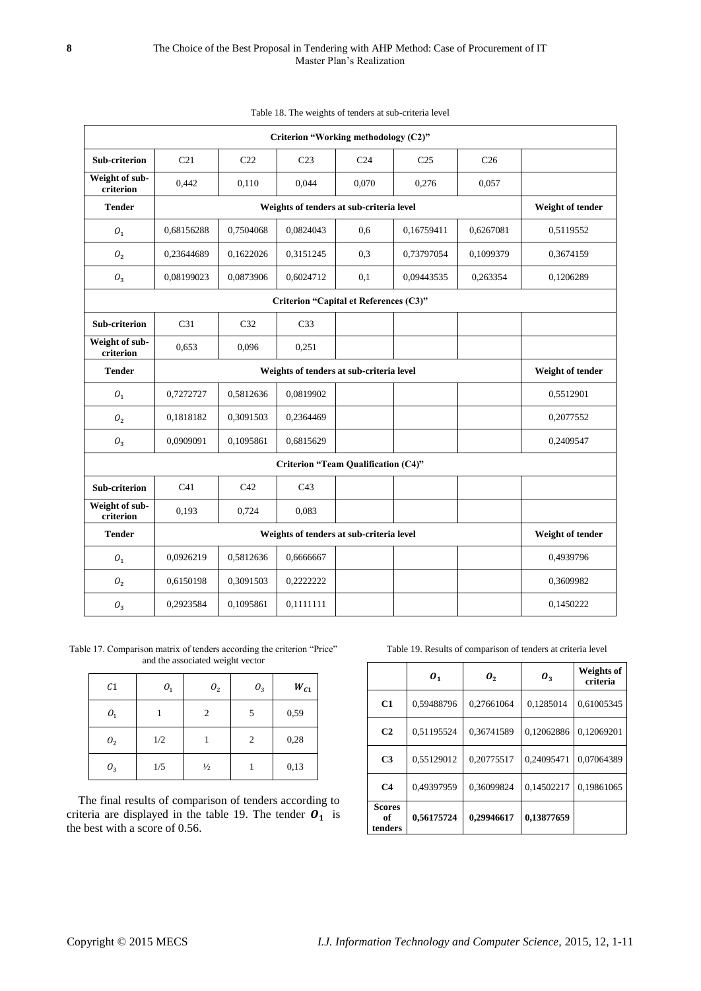|                                                           | Criterion "Working methodology (C2)"     |                                          |                                            |                 |                 |                  |           |  |
|-----------------------------------------------------------|------------------------------------------|------------------------------------------|--------------------------------------------|-----------------|-----------------|------------------|-----------|--|
| <b>Sub-criterion</b>                                      | C <sub>21</sub>                          | C <sub>22</sub>                          | C <sub>23</sub>                            | C <sub>24</sub> | C <sub>25</sub> | C <sub>26</sub>  |           |  |
| Weight of sub-<br>criterion                               | 0,442                                    | 0,110                                    | 0,044                                      | 0,070           | 0,276           | 0,057            |           |  |
| <b>Tender</b>                                             |                                          | Weights of tenders at sub-criteria level |                                            |                 |                 |                  |           |  |
| ${\cal O}_1$                                              | 0,68156288                               | 0,7504068                                | 0,0824043                                  | 0,6             | 0,16759411      | 0,6267081        | 0,5119552 |  |
| O <sub>2</sub>                                            | 0,23644689                               | 0,1622026                                | 0,3151245                                  | 0,3             | 0,73797054      | 0,1099379        | 0,3674159 |  |
| $O_3$                                                     | 0,08199023                               | 0,0873906                                | 0,6024712                                  | 0,1             | 0,09443535      | 0,263354         | 0,1206289 |  |
|                                                           |                                          |                                          | Criterion "Capital et References (C3)"     |                 |                 |                  |           |  |
| <b>Sub-criterion</b>                                      | C <sub>31</sub>                          | C <sub>32</sub>                          | C <sub>33</sub>                            |                 |                 |                  |           |  |
| Weight of sub-<br>criterion                               | 0,653                                    | 0,096                                    | 0,251                                      |                 |                 |                  |           |  |
| <b>Tender</b>                                             | Weights of tenders at sub-criteria level |                                          |                                            |                 |                 |                  |           |  |
| $O_1$                                                     | 0,7272727                                | 0,5812636                                | 0,0819902                                  |                 |                 |                  | 0,5512901 |  |
| O <sub>2</sub>                                            | 0,1818182                                | 0,3091503                                | 0,2364469                                  |                 |                 |                  | 0,2077552 |  |
| ${\cal O}_3$                                              | 0,0909091                                | 0,1095861                                | 0,6815629                                  |                 |                 |                  | 0,2409547 |  |
|                                                           |                                          |                                          | <b>Criterion "Team Qualification (C4)"</b> |                 |                 |                  |           |  |
| Sub-criterion                                             | C <sub>41</sub>                          | C42                                      | C43                                        |                 |                 |                  |           |  |
| Weight of sub-<br>criterion                               | 0,193                                    | 0,724                                    | 0,083                                      |                 |                 |                  |           |  |
| <b>Tender</b><br>Weights of tenders at sub-criteria level |                                          |                                          |                                            |                 |                 | Weight of tender |           |  |
| ${\cal O}_1$                                              | 0,0926219                                | 0,5812636                                | 0,6666667                                  |                 |                 |                  | 0,4939796 |  |
| O <sub>2</sub>                                            | 0,6150198                                | 0,3091503                                | 0,2222222                                  |                 |                 |                  | 0,3609982 |  |
| ${\cal O}_3$                                              | 0.2923584                                | 0.1095861                                | 0.1111111                                  |                 |                 |                  | 0,1450222 |  |

Table 18. The weights of tenders at sub-criteria level

Table 17. Comparison matrix of tenders according the criterion "Price" and the associated weight vector

| C <sub>1</sub> | ${\cal O}_1$ | ${\cal O}_2$  | $O_3$ | $W_{C_1}$ |
|----------------|--------------|---------------|-------|-----------|
| ${\cal O}_1$   |              | 2             | 5     | 0,59      |
| ${\cal O}_2$   | 1/2          |               | 2     | 0,28      |
| $O_3$          | 1/5          | $\frac{1}{2}$ |       | 0,13      |

The final results of comparison of tenders according to criteria are displayed in the table 19. The tender  $\overrightarrow{O_1}$  is the best with a score of 0.56.

Table 19. Results of comparison of tenders at criteria level

|                                | $\boldsymbol{o}_1$ | $\boldsymbol{0}_2$ | $\boldsymbol{0}_3$ | <b>Weights of</b><br>criteria |
|--------------------------------|--------------------|--------------------|--------------------|-------------------------------|
| C1                             | 0,59488796         | 0.27661064         | 0.1285014          | 0,61005345                    |
| C <sub>2</sub>                 | 0,51195524         | 0,36741589         | 0,12062886         | 0,12069201                    |
| C <sub>3</sub>                 | 0,55129012         | 0,20775517         | 0.24095471         | 0.07064389                    |
| C <sub>4</sub>                 | 0,49397959         | 0,36099824         | 0,14502217         | 0,19861065                    |
| <b>Scores</b><br>of<br>tenders | 0.56175724         | 0,29946617         | 0,13877659         |                               |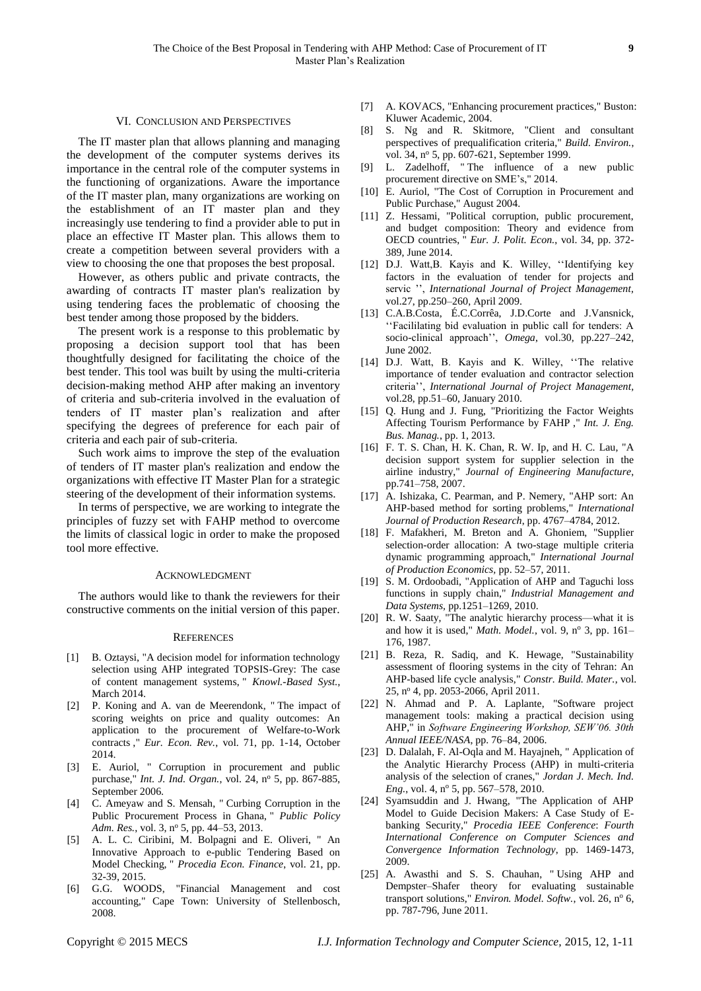#### VI. CONCLUSION AND PERSPECTIVES

The IT master plan that allows planning and managing the development of the computer systems derives its importance in the central role of the computer systems in the functioning of organizations. Aware the importance of the IT master plan, many organizations are working on the establishment of an IT master plan and they increasingly use tendering to find a provider able to put in place an effective IT Master plan. This allows them to create a competition between several providers with a view to choosing the one that proposes the best proposal.

However, as others public and private contracts, the awarding of contracts IT master plan's realization by using tendering faces the problematic of choosing the best tender among those proposed by the bidders.

The present work is a response to this problematic by proposing a decision support tool that has been thoughtfully designed for facilitating the choice of the best tender. This tool was built by using the multi-criteria decision-making method AHP after making an inventory of criteria and sub-criteria involved in the evaluation of tenders of IT master plan's realization and after specifying the degrees of preference for each pair of criteria and each pair of sub-criteria.

Such work aims to improve the step of the evaluation of tenders of IT master plan's realization and endow the organizations with effective IT Master Plan for a strategic steering of the development of their information systems.

In terms of perspective, we are working to integrate the principles of fuzzy set with FAHP method to overcome the limits of classical logic in order to make the proposed tool more effective.

#### ACKNOWLEDGMENT

The authors would like to thank the reviewers for their constructive comments on the initial version of this paper.

#### **REFERENCES**

- [1] B. Oztaysi, "A decision model for information technology selection using AHP integrated TOPSIS-Grey: The case of content management systems, " *Knowl.-Based Syst.*, March 2014.
- [2] P. Koning and A. van de Meerendonk, " The impact of scoring weights on price and quality outcomes: An application to the procurement of Welfare-to-Work contracts ," *Eur. Econ. Rev.*, vol. 71, pp. 1-14, October 2014.
- [3] E. Auriol, " Corruption in procurement and public purchase," *Int. J. Ind. Organ.*, vol. 24, nº 5, pp. 867-885, September 2006.
- [4] C. Ameyaw and S. Mensah, " Curbing Corruption in the Public Procurement Process in Ghana, " *Public Policy*  Adm. Res., vol. 3, nº 5, pp. 44-53, 2013.
- [5] A. L. C. Ciribini, M. Bolpagni and E. Oliveri, " An Innovative Approach to e-public Tendering Based on Model Checking, " *Procedia Econ. Finance*, vol. 21, pp. 32-39, 2015.
- [6] G.G. WOODS, "Financial Management and cost accounting," Cape Town: University of Stellenbosch, 2008.
- [7] A. KOVACS, "Enhancing procurement practices," Buston: Kluwer Academic, 2004.
- [8] S. Ng and R. Skitmore, "Client and consultant perspectives of prequalification criteria," *Build. Environ.*, vol. 34, nº 5, pp. 607-621, September 1999.
- [9] L. Zadelhoff, " The influence of a new public procurement directive on SME's," 2014.
- [10] E. Auriol, "The Cost of Corruption in Procurement and Public Purchase," August 2004.
- [11] Z. Hessami, "Political corruption, public procurement, and budget composition: Theory and evidence from OECD countries, " *Eur. J. Polit. Econ.*, vol. 34, pp. 372- 389, June 2014.
- [12] D.J. Watt,B. Kayis and K. Willey, ''Identifying key factors in the evaluation of tender for projects and servic '', *International Journal of Project Management,* vol.27, pp.250–260, April 2009.
- [13] C.A.B.Costa, É.C.Corrêa, J.D.Corte and J.Vansnick, ''Facililating bid evaluation in public call for tenders: A socio-clinical approach'', *Omega*, vol.30, pp.227–242, June 2002.
- [14] D.J. Watt, B. Kayis and K. Willey, ''The relative importance of tender evaluation and contractor selection criteria'', *International Journal of Project Management,* vol.28, pp.51–60, January 2010.
- [15] Q. Hung and J. Fung, "Prioritizing the Factor Weights Affecting Tourism Performance by FAHP ," *Int. J. Eng. Bus. Manag.*, pp. 1, 2013.
- [16] F. T. S. Chan, H. K. Chan, R. W. Ip, and H. C. Lau, "A decision support system for supplier selection in the airline industry," *Journal of Engineering Manufacture*, pp.741–758, 2007.
- [17] A. Ishizaka, C. Pearman, and P. Nemery, "AHP sort: An AHP-based method for sorting problems," *International Journal of Production Research*, pp. 4767–4784, 2012.
- [18] F. Mafakheri, M. Breton and A. Ghoniem, "Supplier selection-order allocation: A two-stage multiple criteria dynamic programming approach," *International Journal of Production Economics,* pp. 52–57, 2011.
- [19] S. M. Ordoobadi, "Application of AHP and Taguchi loss functions in supply chain," *Industrial Management and Data Systems,* pp.1251–1269, 2010.
- [20] R. W. Saaty, "The analytic hierarchy process—what it is and how it is used," *Math. Model.*, vol. 9, nº 3, pp. 161– 176, 1987.
- [21] B. Reza, R. Sadiq, and K. Hewage, "Sustainability assessment of flooring systems in the city of Tehran: An AHP-based life cycle analysis," *Constr. Build. Mater.*, vol. 25, n<sup>o</sup> 4, pp. 2053-2066, April 2011.
- [22] N. Ahmad and P. A. Laplante, "Software project management tools: making a practical decision using AHP," in *Software Engineering Workshop, SEW'06. 30th Annual IEEE/NASA*, pp. 76–84, 2006.
- [23] D. Dalalah, F. Al-Oqla and M. Hayajneh, "Application of the Analytic Hierarchy Process (AHP) in multi-criteria analysis of the selection of cranes," *Jordan J. Mech. Ind. Eng.*, vol. 4, nº 5, pp. 567–578, 2010.
- [24] Syamsuddin and J. Hwang, "The Application of AHP Model to Guide Decision Makers: A Case Study of Ebanking Security," *Procedia IEEE Conference*: *Fourth International Conference on Computer Sciences and Convergence Information Technology*, pp. 1469-1473, 2009.
- [25] A. Awasthi and S. S. Chauhan, " Using AHP and Dempster–Shafer theory for evaluating sustainable transport solutions," *Environ. Model. Softw.*, vol. 26, nº 6, pp. 787-796, June 2011.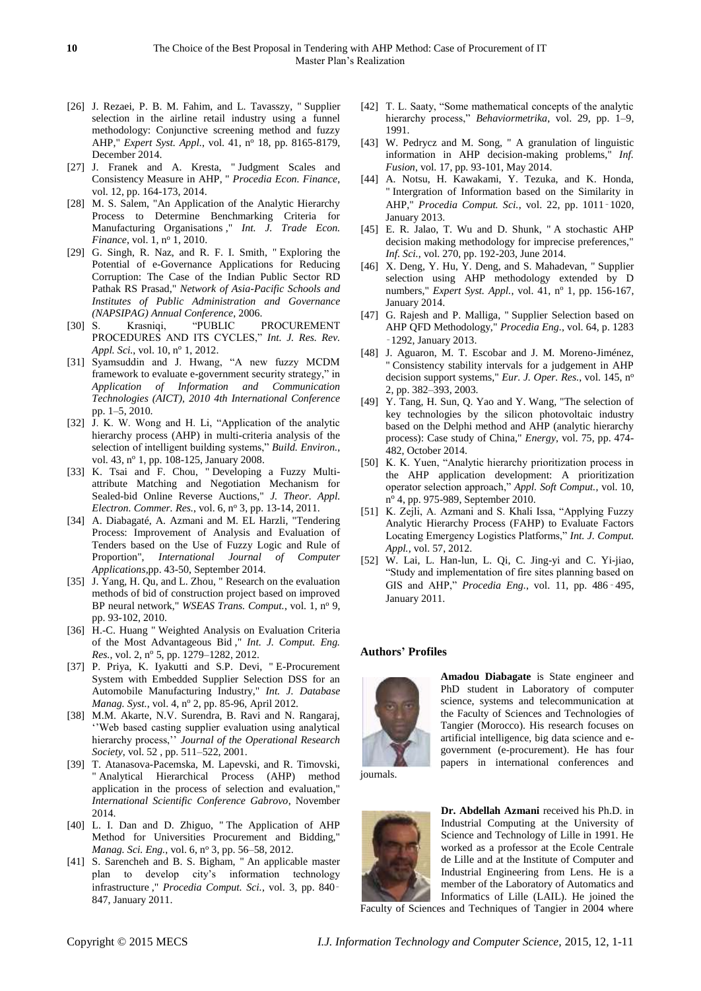- [26] J. Rezaei, P. B. M. Fahim, and L. Tavasszy, "Supplier selection in the airline retail industry using a funnel methodology: Conjunctive screening method and fuzzy AHP," *Expert Syst. Appl.*, vol. 41, nº 18, pp. 8165-8179, December 2014.
- [27] J. Franek and A. Kresta, " Judgment Scales and Consistency Measure in AHP, " *Procedia Econ. Finance*, vol. 12, pp. 164-173, 2014.
- [28] M. S. Salem, "An Application of the Analytic Hierarchy Process to Determine Benchmarking Criteria for Manufacturing Organisations ," *Int. J. Trade Econ. Finance*, vol. 1, nº 1, 2010.
- [29] G. Singh, R. Naz, and R. F. I. Smith, " Exploring the Potential of e-Governance Applications for Reducing Corruption: The Case of the Indian Public Sector RD Pathak RS Prasad," *Network of Asia-Pacific Schools and Institutes of Public Administration and Governance (NAPSIPAG) Annual Conference*, 2006.
- [30] S. Krasniqi, "PUBLIC PROCUREMENT PROCEDURES AND ITS CYCLES," *Int. J. Res. Rev. Appl. Sci.*, vol. 10, nº 1, 2012.
- [31] Syamsuddin and J. Hwang, "A new fuzzy MCDM framework to evaluate e-government security strategy," in *Application of Information and Communication Technologies (AICT), 2010 4th International Conference*  pp. 1–5, 2010.
- [32] J. K. W. Wong and H. Li, "Application of the analytic hierarchy process (AHP) in multi-criteria analysis of the selection of intelligent building systems," *Build. Environ.*, vol. 43, nº 1, pp. 108-125, January 2008.
- [33] K. Tsai and F. Chou, " Developing a Fuzzy Multiattribute Matching and Negotiation Mechanism for Sealed-bid Online Reverse Auctions," *J. Theor. Appl. Electron. Commer. Res.*, vol. 6, nº 3, pp. 13-14, 2011.
- [34] A. Diabagaté, A. Azmani and M. EL Harzli, "Tendering Process: Improvement of Analysis and Evaluation of Tenders based on the Use of Fuzzy Logic and Rule of Proportion", *International Journal of Computer Applications,*pp. 43-50, September 2014.
- [35] J. Yang, H. Qu, and L. Zhou, " Research on the evaluation methods of bid of construction project based on improved BP neural network," *WSEAS Trans. Comput.*, vol. 1, nº 9, pp. 93-102, 2010.
- [36] H.-C. Huang " Weighted Analysis on Evaluation Criteria of the Most Advantageous Bid ," *Int. J. Comput. Eng. Res.*, vol. 2, nº 5, pp. 1279–1282, 2012.
- [37] P. Priya, K. Iyakutti and S.P. Devi, " E-Procurement System with Embedded Supplier Selection DSS for an Automobile Manufacturing Industry," *Int. J. Database Manag. Syst.*, vol. 4, n<sup>o</sup> 2, pp. 85-96, April 2012.
- [38] M.M. Akarte, N.V. Surendra, B. Ravi and N. Rangaraj, ''Web based casting supplier evaluation using analytical hierarchy process,'' *Journal of the Operational Research Society*, vol. 52 , pp. 511–522, 2001.
- [39] T. Atanasova-Pacemska, M. Lapevski, and R. Timovski, " Analytical Hierarchical Process (AHP) method application in the process of selection and evaluation," *International Scientific Conference Gabrovo*, November 2014.
- [40] L. I. Dan and D. Zhiguo, " The Application of AHP Method for Universities Procurement and Bidding," *Manag. Sci. Eng.*, vol. 6, nº 3, pp. 56-58, 2012.
- [41] S. Sarencheh and B. S. Bigham, " An applicable master plan to develop city's information technology infrastructure ," *Procedia Comput. Sci.*, vol. 3, pp. 840‑ 847, January 2011.
- [42] T. L. Saaty, "Some mathematical concepts of the analytic hierarchy process," *Behaviormetrika*, vol. 29, pp. 1-9, 1991.
- [43] W. Pedrycz and M. Song, " A granulation of linguistic information in AHP decision-making problems," *Inf. Fusion*, vol. 17, pp. 93-101, May 2014.
- [44] A. Notsu, H. Kawakami, Y. Tezuka, and K. Honda, " Intergration of Information based on the Similarity in AHP," *Procedia Comput. Sci.*, vol. 22, pp. 1011‑1020, January 2013.
- [45] E. R. Jalao, T. Wu and D. Shunk, " A stochastic AHP decision making methodology for imprecise preferences," *Inf. Sci.*, vol. 270, pp. 192-203, June 2014.
- [46] X. Deng, Y. Hu, Y. Deng, and S. Mahadevan, " Supplier selection using AHP methodology extended by D numbers," *Expert Syst. Appl.*, vol. 41, nº 1, pp. 156-167, January 2014.
- [47] G. Rajesh and P. Malliga, " Supplier Selection based on AHP QFD Methodology," *Procedia Eng.*, vol. 64, p. 1283 ‑1292, January 2013.
- [48] J. Aguaron, M. T. Escobar and J. M. Moreno-Jiménez, " Consistency stability intervals for a judgement in AHP decision support systems," *Eur. J. Oper. Res.*, vol. 145, n<sup>o</sup> 2, pp. 382–393, 2003.
- [49] Y. Tang, H. Sun, Q. Yao and Y. Wang, "The selection of key technologies by the silicon photovoltaic industry based on the Delphi method and AHP (analytic hierarchy process): Case study of China," *Energy*, vol. 75, pp. 474- 482, October 2014.
- [50] K. K. Yuen, "Analytic hierarchy prioritization process in the AHP application development: A prioritization operator selection approach," *Appl. Soft Comput.*, vol. 10, nº 4, pp. 975-989, September 2010.
- [51] K. Zejli, A. Azmani and S. Khali Issa, "Applying Fuzzy Analytic Hierarchy Process (FAHP) to Evaluate Factors Locating Emergency Logistics Platforms," *Int. J. Comput. Appl.*, vol. 57, 2012.
- [52] W. Lai, L. Han-lun, L. Qi, C. Jing-yi and C. Yi-jiao, "Study and implementation of fire sites planning based on GIS and AHP," *Procedia Eng.*, vol. 11, pp. 486‑495, January 2011.

### **Authors' Profiles**



**Amadou Diabagate** is State engineer and PhD student in Laboratory of computer science, systems and telecommunication at the Faculty of Sciences and Technologies of Tangier (Morocco). His research focuses on artificial intelligence, big data science and egovernment (e-procurement). He has four papers in international conferences and

journals.



**Dr. Abdellah Azmani** received his Ph.D. in Industrial Computing at the University of Science and Technology of Lille in 1991. He worked as a professor at the Ecole Centrale de Lille and at the Institute of Computer and Industrial Engineering from Lens. He is a member of the Laboratory of Automatics and Informatics of Lille (LAIL). He joined the

Faculty of Sciences and Techniques of Tangier in 2004 where